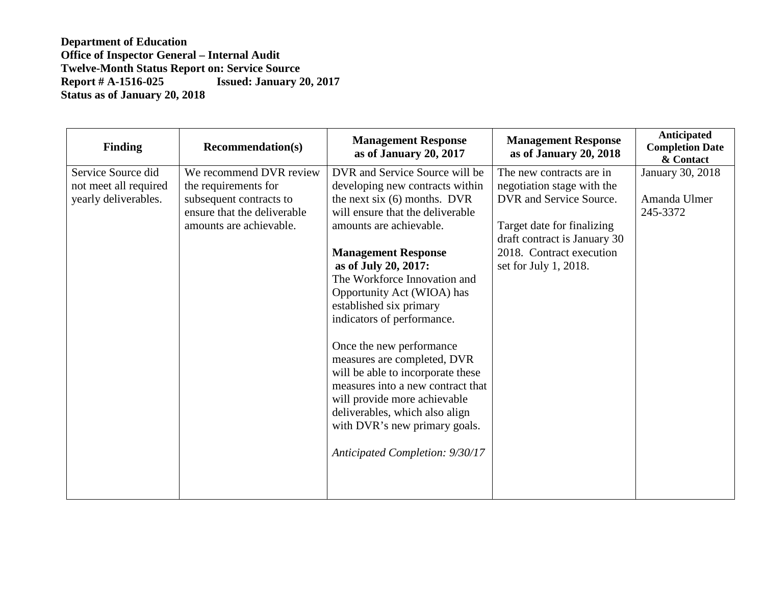| <b>Finding</b>        | <b>Recommendation(s)</b>    | <b>Management Response</b><br>as of January 20, 2017                                                                                                                                                                                                                    | <b>Management Response</b><br>as of January 20, 2018 | Anticipated<br><b>Completion Date</b><br>& Contact |
|-----------------------|-----------------------------|-------------------------------------------------------------------------------------------------------------------------------------------------------------------------------------------------------------------------------------------------------------------------|------------------------------------------------------|----------------------------------------------------|
| Service Source did    | We recommend DVR review     | DVR and Service Source will be                                                                                                                                                                                                                                          | The new contracts are in                             | <b>January 30, 2018</b>                            |
| not meet all required | the requirements for        | developing new contracts within                                                                                                                                                                                                                                         | negotiation stage with the                           |                                                    |
| yearly deliverables.  | subsequent contracts to     | the next six $(6)$ months. DVR                                                                                                                                                                                                                                          | DVR and Service Source.                              | Amanda Ulmer                                       |
|                       | ensure that the deliverable | will ensure that the deliverable                                                                                                                                                                                                                                        |                                                      | 245-3372                                           |
|                       | amounts are achievable.     | amounts are achievable.                                                                                                                                                                                                                                                 | Target date for finalizing                           |                                                    |
|                       |                             |                                                                                                                                                                                                                                                                         | draft contract is January 30                         |                                                    |
|                       |                             | <b>Management Response</b>                                                                                                                                                                                                                                              | 2018. Contract execution                             |                                                    |
|                       |                             | as of July 20, 2017:                                                                                                                                                                                                                                                    | set for July 1, 2018.                                |                                                    |
|                       |                             | The Workforce Innovation and                                                                                                                                                                                                                                            |                                                      |                                                    |
|                       |                             | Opportunity Act (WIOA) has                                                                                                                                                                                                                                              |                                                      |                                                    |
|                       |                             | established six primary                                                                                                                                                                                                                                                 |                                                      |                                                    |
|                       |                             | indicators of performance.                                                                                                                                                                                                                                              |                                                      |                                                    |
|                       |                             | Once the new performance<br>measures are completed, DVR<br>will be able to incorporate these<br>measures into a new contract that<br>will provide more achievable<br>deliverables, which also align<br>with DVR's new primary goals.<br>Anticipated Completion: 9/30/17 |                                                      |                                                    |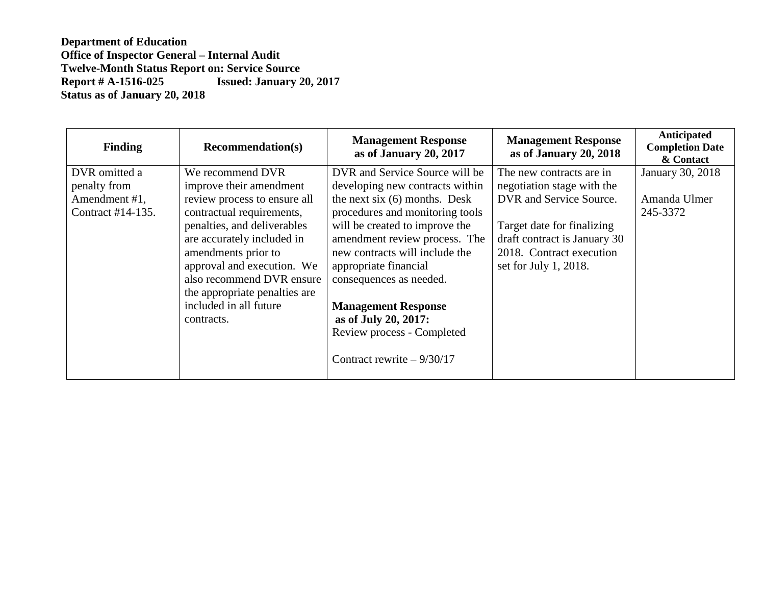| <b>Finding</b>    | <b>Recommendation(s)</b>      | <b>Management Response</b><br>as of January 20, 2017 | <b>Management Response</b><br>as of January 20, 2018 | Anticipated<br><b>Completion Date</b><br>& Contact |
|-------------------|-------------------------------|------------------------------------------------------|------------------------------------------------------|----------------------------------------------------|
| DVR omitted a     | We recommend DVR              | DVR and Service Source will be                       | The new contracts are in                             | January 30, 2018                                   |
| penalty from      | improve their amendment       | developing new contracts within                      | negotiation stage with the                           |                                                    |
| Amendment #1,     | review process to ensure all  | the next six $(6)$ months. Desk                      | DVR and Service Source.                              | Amanda Ulmer                                       |
| Contract #14-135. | contractual requirements,     | procedures and monitoring tools                      |                                                      | 245-3372                                           |
|                   | penalties, and deliverables   | will be created to improve the                       | Target date for finalizing                           |                                                    |
|                   | are accurately included in    | amendment review process. The                        | draft contract is January 30                         |                                                    |
|                   | amendments prior to           | new contracts will include the                       | 2018. Contract execution                             |                                                    |
|                   | approval and execution. We    | appropriate financial                                | set for July 1, 2018.                                |                                                    |
|                   | also recommend DVR ensure     | consequences as needed.                              |                                                      |                                                    |
|                   | the appropriate penalties are |                                                      |                                                      |                                                    |
|                   | included in all future        | <b>Management Response</b>                           |                                                      |                                                    |
|                   | contracts.                    | as of July 20, 2017:                                 |                                                      |                                                    |
|                   |                               | Review process - Completed                           |                                                      |                                                    |
|                   |                               | Contract rewrite $-9/30/17$                          |                                                      |                                                    |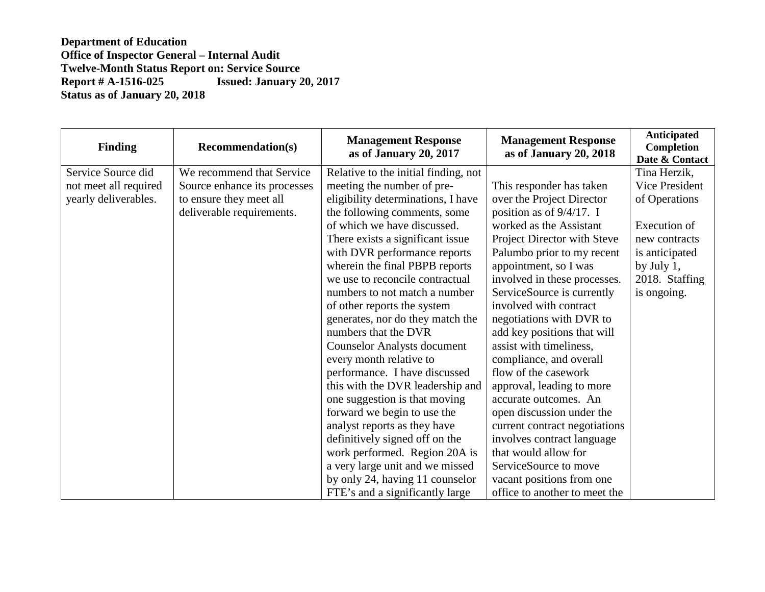| <b>Finding</b>        | <b>Recommendation(s)</b>     | <b>Management Response</b><br>as of January 20, 2017 | <b>Management Response</b><br>as of January 20, 2018 | <b>Anticipated</b><br>Completion<br>Date & Contact |
|-----------------------|------------------------------|------------------------------------------------------|------------------------------------------------------|----------------------------------------------------|
| Service Source did    | We recommend that Service    | Relative to the initial finding, not                 |                                                      | Tina Herzik,                                       |
| not meet all required | Source enhance its processes | meeting the number of pre-                           | This responder has taken                             | Vice President                                     |
| yearly deliverables.  | to ensure they meet all      | eligibility determinations, I have                   | over the Project Director                            | of Operations                                      |
|                       | deliverable requirements.    | the following comments, some                         | position as of 9/4/17. I                             |                                                    |
|                       |                              | of which we have discussed.                          | worked as the Assistant                              | Execution of                                       |
|                       |                              | There exists a significant issue                     | Project Director with Steve                          | new contracts                                      |
|                       |                              | with DVR performance reports                         | Palumbo prior to my recent                           | is anticipated                                     |
|                       |                              | wherein the final PBPB reports                       | appointment, so I was                                | by July 1,                                         |
|                       |                              | we use to reconcile contractual                      | involved in these processes.                         | 2018. Staffing                                     |
|                       |                              | numbers to not match a number                        | ServiceSource is currently                           | is ongoing.                                        |
|                       |                              | of other reports the system                          | involved with contract                               |                                                    |
|                       |                              | generates, nor do they match the                     | negotiations with DVR to                             |                                                    |
|                       |                              | numbers that the DVR                                 | add key positions that will                          |                                                    |
|                       |                              | <b>Counselor Analysts document</b>                   | assist with timeliness,                              |                                                    |
|                       |                              | every month relative to                              | compliance, and overall                              |                                                    |
|                       |                              | performance. I have discussed                        | flow of the casework                                 |                                                    |
|                       |                              | this with the DVR leadership and                     | approval, leading to more                            |                                                    |
|                       |                              | one suggestion is that moving                        | accurate outcomes. An                                |                                                    |
|                       |                              | forward we begin to use the                          | open discussion under the                            |                                                    |
|                       |                              | analyst reports as they have                         | current contract negotiations                        |                                                    |
|                       |                              | definitively signed off on the                       | involves contract language                           |                                                    |
|                       |                              | work performed. Region 20A is                        | that would allow for                                 |                                                    |
|                       |                              | a very large unit and we missed                      | ServiceSource to move                                |                                                    |
|                       |                              | by only 24, having 11 counselor                      | vacant positions from one                            |                                                    |
|                       |                              | FTE's and a significantly large                      | office to another to meet the                        |                                                    |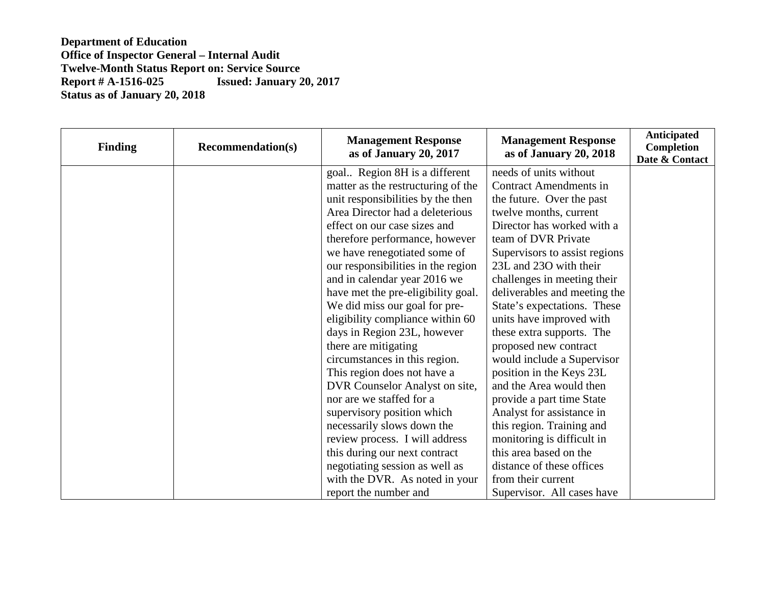| <b>Finding</b> | <b>Recommendation(s)</b> | <b>Management Response</b><br>as of January 20, 2017 | <b>Management Response</b><br>as of January 20, 2018 | <b>Anticipated</b><br>Completion<br>Date & Contact |
|----------------|--------------------------|------------------------------------------------------|------------------------------------------------------|----------------------------------------------------|
|                |                          | goal Region 8H is a different                        | needs of units without                               |                                                    |
|                |                          | matter as the restructuring of the                   | <b>Contract Amendments in</b>                        |                                                    |
|                |                          | unit responsibilities by the then                    | the future. Over the past                            |                                                    |
|                |                          | Area Director had a deleterious                      | twelve months, current                               |                                                    |
|                |                          | effect on our case sizes and                         | Director has worked with a                           |                                                    |
|                |                          | therefore performance, however                       | team of DVR Private                                  |                                                    |
|                |                          | we have renegotiated some of                         | Supervisors to assist regions                        |                                                    |
|                |                          | our responsibilities in the region                   | 23L and 23O with their                               |                                                    |
|                |                          | and in calendar year 2016 we                         | challenges in meeting their                          |                                                    |
|                |                          | have met the pre-eligibility goal.                   | deliverables and meeting the                         |                                                    |
|                |                          | We did miss our goal for pre-                        | State's expectations. These                          |                                                    |
|                |                          | eligibility compliance within 60                     | units have improved with                             |                                                    |
|                |                          | days in Region 23L, however                          | these extra supports. The                            |                                                    |
|                |                          | there are mitigating                                 | proposed new contract                                |                                                    |
|                |                          | circumstances in this region.                        | would include a Supervisor                           |                                                    |
|                |                          | This region does not have a                          | position in the Keys 23L                             |                                                    |
|                |                          | DVR Counselor Analyst on site,                       | and the Area would then                              |                                                    |
|                |                          | nor are we staffed for a                             | provide a part time State                            |                                                    |
|                |                          | supervisory position which                           | Analyst for assistance in                            |                                                    |
|                |                          | necessarily slows down the                           | this region. Training and                            |                                                    |
|                |                          | review process. I will address                       | monitoring is difficult in                           |                                                    |
|                |                          | this during our next contract                        | this area based on the                               |                                                    |
|                |                          | negotiating session as well as                       | distance of these offices                            |                                                    |
|                |                          | with the DVR. As noted in your                       | from their current                                   |                                                    |
|                |                          | report the number and                                | Supervisor. All cases have                           |                                                    |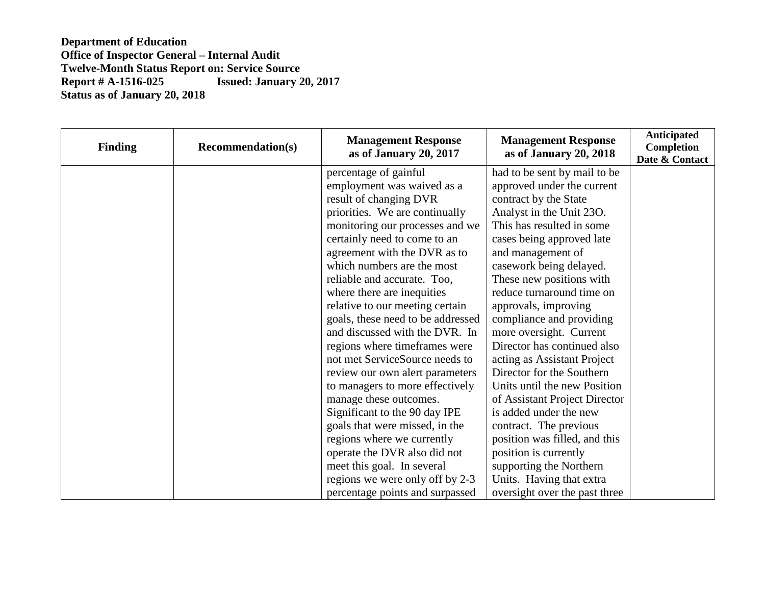| <b>Finding</b> | <b>Recommendation(s)</b> | <b>Management Response</b><br>as of January 20, 2017 | <b>Management Response</b><br>as of January 20, 2018 | <b>Anticipated</b><br>Completion<br>Date & Contact |
|----------------|--------------------------|------------------------------------------------------|------------------------------------------------------|----------------------------------------------------|
|                |                          | percentage of gainful                                | had to be sent by mail to be                         |                                                    |
|                |                          | employment was waived as a                           | approved under the current                           |                                                    |
|                |                          | result of changing DVR                               | contract by the State                                |                                                    |
|                |                          | priorities. We are continually                       | Analyst in the Unit 230.                             |                                                    |
|                |                          | monitoring our processes and we                      | This has resulted in some                            |                                                    |
|                |                          | certainly need to come to an                         | cases being approved late                            |                                                    |
|                |                          | agreement with the DVR as to                         | and management of                                    |                                                    |
|                |                          | which numbers are the most                           | casework being delayed.                              |                                                    |
|                |                          | reliable and accurate. Too,                          | These new positions with                             |                                                    |
|                |                          | where there are inequities                           | reduce turnaround time on                            |                                                    |
|                |                          | relative to our meeting certain                      | approvals, improving                                 |                                                    |
|                |                          | goals, these need to be addressed                    | compliance and providing                             |                                                    |
|                |                          | and discussed with the DVR. In                       | more oversight. Current                              |                                                    |
|                |                          | regions where timeframes were                        | Director has continued also                          |                                                    |
|                |                          | not met ServiceSource needs to                       | acting as Assistant Project                          |                                                    |
|                |                          | review our own alert parameters                      | Director for the Southern                            |                                                    |
|                |                          | to managers to more effectively                      | Units until the new Position                         |                                                    |
|                |                          | manage these outcomes.                               | of Assistant Project Director                        |                                                    |
|                |                          | Significant to the 90 day IPE                        | is added under the new                               |                                                    |
|                |                          | goals that were missed, in the                       | contract. The previous                               |                                                    |
|                |                          | regions where we currently                           | position was filled, and this                        |                                                    |
|                |                          | operate the DVR also did not                         | position is currently                                |                                                    |
|                |                          | meet this goal. In several                           | supporting the Northern                              |                                                    |
|                |                          | regions we were only off by 2-3                      | Units. Having that extra                             |                                                    |
|                |                          | percentage points and surpassed                      | oversight over the past three                        |                                                    |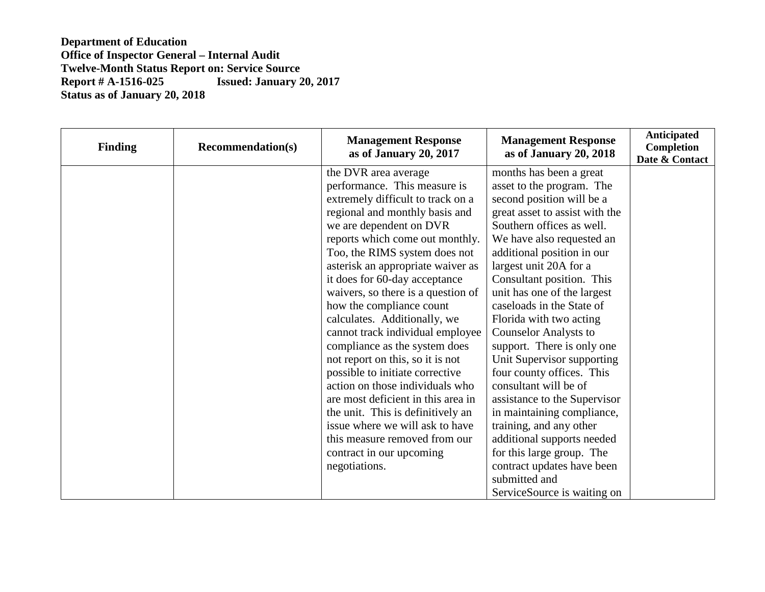| <b>Finding</b> | <b>Recommendation(s)</b> | <b>Management Response</b><br>as of January 20, 2017 | <b>Management Response</b><br>as of January 20, 2018 | <b>Anticipated</b><br>Completion<br>Date & Contact |
|----------------|--------------------------|------------------------------------------------------|------------------------------------------------------|----------------------------------------------------|
|                |                          | the DVR area average                                 | months has been a great                              |                                                    |
|                |                          | performance. This measure is                         | asset to the program. The                            |                                                    |
|                |                          | extremely difficult to track on a                    | second position will be a                            |                                                    |
|                |                          | regional and monthly basis and                       | great asset to assist with the                       |                                                    |
|                |                          | we are dependent on DVR                              | Southern offices as well.                            |                                                    |
|                |                          | reports which come out monthly.                      | We have also requested an                            |                                                    |
|                |                          | Too, the RIMS system does not                        | additional position in our                           |                                                    |
|                |                          | asterisk an appropriate waiver as                    | largest unit 20A for a                               |                                                    |
|                |                          | it does for 60-day acceptance                        | Consultant position. This                            |                                                    |
|                |                          | waivers, so there is a question of                   | unit has one of the largest                          |                                                    |
|                |                          | how the compliance count                             | caseloads in the State of                            |                                                    |
|                |                          | calculates. Additionally, we                         | Florida with two acting                              |                                                    |
|                |                          | cannot track individual employee                     | <b>Counselor Analysts to</b>                         |                                                    |
|                |                          | compliance as the system does                        | support. There is only one                           |                                                    |
|                |                          | not report on this, so it is not                     | Unit Supervisor supporting                           |                                                    |
|                |                          | possible to initiate corrective                      | four county offices. This                            |                                                    |
|                |                          | action on those individuals who                      | consultant will be of                                |                                                    |
|                |                          | are most deficient in this area in                   | assistance to the Supervisor                         |                                                    |
|                |                          | the unit. This is definitively an                    | in maintaining compliance,                           |                                                    |
|                |                          | issue where we will ask to have                      | training, and any other                              |                                                    |
|                |                          | this measure removed from our                        | additional supports needed                           |                                                    |
|                |                          | contract in our upcoming                             | for this large group. The                            |                                                    |
|                |                          | negotiations.                                        | contract updates have been                           |                                                    |
|                |                          |                                                      | submitted and                                        |                                                    |
|                |                          |                                                      | ServiceSource is waiting on                          |                                                    |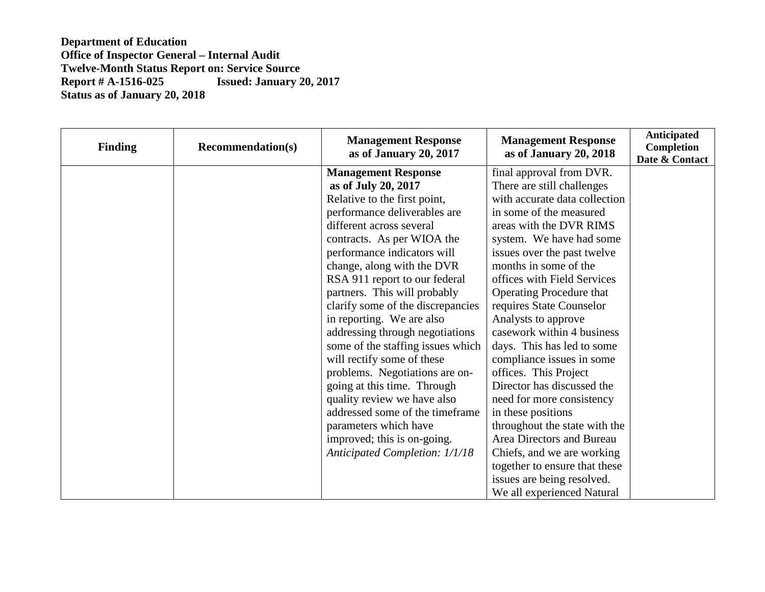| <b>Finding</b> | <b>Recommendation(s)</b> | <b>Management Response</b><br>as of January 20, 2017 | <b>Management Response</b><br>as of January 20, 2018 | <b>Anticipated</b><br>Completion<br>Date & Contact |
|----------------|--------------------------|------------------------------------------------------|------------------------------------------------------|----------------------------------------------------|
|                |                          | <b>Management Response</b>                           | final approval from DVR.                             |                                                    |
|                |                          | as of July 20, 2017                                  | There are still challenges                           |                                                    |
|                |                          | Relative to the first point,                         | with accurate data collection                        |                                                    |
|                |                          | performance deliverables are                         | in some of the measured                              |                                                    |
|                |                          | different across several                             | areas with the DVR RIMS                              |                                                    |
|                |                          | contracts. As per WIOA the                           | system. We have had some                             |                                                    |
|                |                          | performance indicators will                          | issues over the past twelve                          |                                                    |
|                |                          | change, along with the DVR                           | months in some of the                                |                                                    |
|                |                          | RSA 911 report to our federal                        | offices with Field Services                          |                                                    |
|                |                          | partners. This will probably                         | Operating Procedure that                             |                                                    |
|                |                          | clarify some of the discrepancies                    | requires State Counselor                             |                                                    |
|                |                          | in reporting. We are also                            | Analysts to approve                                  |                                                    |
|                |                          | addressing through negotiations                      | casework within 4 business                           |                                                    |
|                |                          | some of the staffing issues which                    | days. This has led to some                           |                                                    |
|                |                          | will rectify some of these                           | compliance issues in some                            |                                                    |
|                |                          | problems. Negotiations are on-                       | offices. This Project                                |                                                    |
|                |                          | going at this time. Through                          | Director has discussed the                           |                                                    |
|                |                          | quality review we have also                          | need for more consistency                            |                                                    |
|                |                          | addressed some of the timeframe                      | in these positions                                   |                                                    |
|                |                          | parameters which have                                | throughout the state with the                        |                                                    |
|                |                          | improved; this is on-going.                          | Area Directors and Bureau                            |                                                    |
|                |                          | Anticipated Completion: 1/1/18                       | Chiefs, and we are working                           |                                                    |
|                |                          |                                                      | together to ensure that these                        |                                                    |
|                |                          |                                                      | issues are being resolved.                           |                                                    |
|                |                          |                                                      | We all experienced Natural                           |                                                    |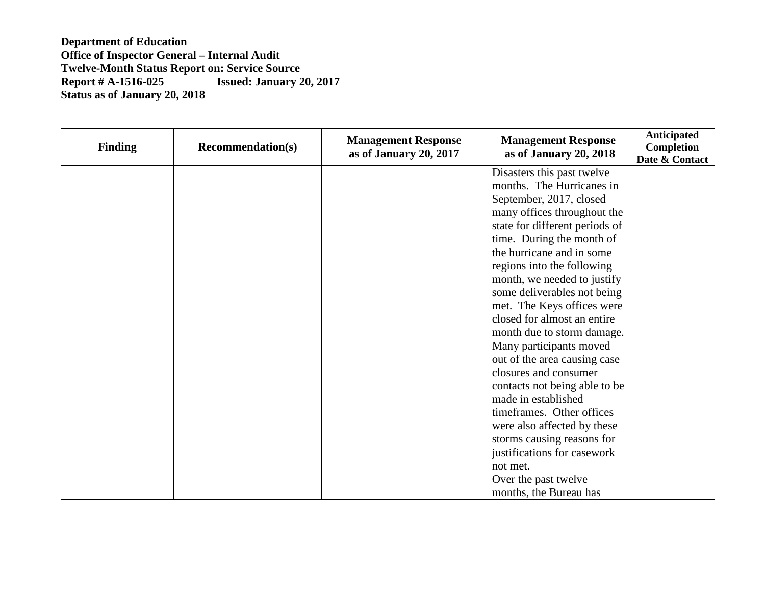| <b>Finding</b> | <b>Recommendation(s)</b> | <b>Management Response</b><br>as of January 20, 2017 | <b>Management Response</b><br>as of January 20, 2018 | Anticipated<br><b>Completion</b><br>Date & Contact |
|----------------|--------------------------|------------------------------------------------------|------------------------------------------------------|----------------------------------------------------|
|                |                          |                                                      | Disasters this past twelve                           |                                                    |
|                |                          |                                                      | months. The Hurricanes in                            |                                                    |
|                |                          |                                                      | September, 2017, closed                              |                                                    |
|                |                          |                                                      | many offices throughout the                          |                                                    |
|                |                          |                                                      | state for different periods of                       |                                                    |
|                |                          |                                                      | time. During the month of                            |                                                    |
|                |                          |                                                      | the hurricane and in some                            |                                                    |
|                |                          |                                                      | regions into the following                           |                                                    |
|                |                          |                                                      | month, we needed to justify                          |                                                    |
|                |                          |                                                      | some deliverables not being                          |                                                    |
|                |                          |                                                      | met. The Keys offices were                           |                                                    |
|                |                          |                                                      | closed for almost an entire                          |                                                    |
|                |                          |                                                      | month due to storm damage.                           |                                                    |
|                |                          |                                                      | Many participants moved                              |                                                    |
|                |                          |                                                      | out of the area causing case                         |                                                    |
|                |                          |                                                      | closures and consumer                                |                                                    |
|                |                          |                                                      | contacts not being able to be                        |                                                    |
|                |                          |                                                      | made in established                                  |                                                    |
|                |                          |                                                      | timeframes. Other offices                            |                                                    |
|                |                          |                                                      | were also affected by these                          |                                                    |
|                |                          |                                                      | storms causing reasons for                           |                                                    |
|                |                          |                                                      | justifications for casework                          |                                                    |
|                |                          |                                                      | not met.                                             |                                                    |
|                |                          |                                                      | Over the past twelve                                 |                                                    |
|                |                          |                                                      | months, the Bureau has                               |                                                    |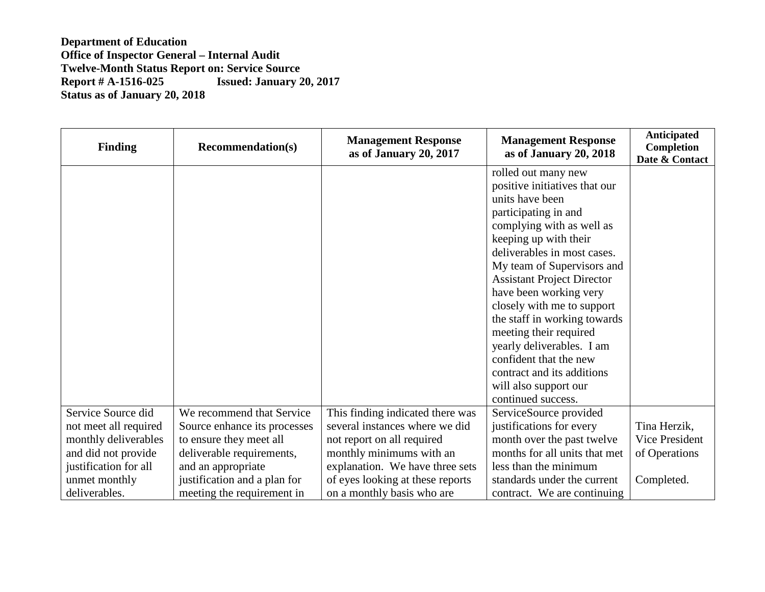| <b>Finding</b>        | <b>Recommendation(s)</b>     | <b>Management Response</b><br>as of January 20, 2017 | <b>Management Response</b><br>as of January 20, 2018 | <b>Anticipated</b><br>Completion<br>Date & Contact |
|-----------------------|------------------------------|------------------------------------------------------|------------------------------------------------------|----------------------------------------------------|
|                       |                              |                                                      | rolled out many new                                  |                                                    |
|                       |                              |                                                      | positive initiatives that our                        |                                                    |
|                       |                              |                                                      | units have been                                      |                                                    |
|                       |                              |                                                      | participating in and                                 |                                                    |
|                       |                              |                                                      | complying with as well as                            |                                                    |
|                       |                              |                                                      | keeping up with their                                |                                                    |
|                       |                              |                                                      | deliverables in most cases.                          |                                                    |
|                       |                              |                                                      | My team of Supervisors and                           |                                                    |
|                       |                              |                                                      | <b>Assistant Project Director</b>                    |                                                    |
|                       |                              |                                                      | have been working very                               |                                                    |
|                       |                              |                                                      | closely with me to support                           |                                                    |
|                       |                              |                                                      | the staff in working towards                         |                                                    |
|                       |                              |                                                      | meeting their required                               |                                                    |
|                       |                              |                                                      | yearly deliverables. I am                            |                                                    |
|                       |                              |                                                      | confident that the new                               |                                                    |
|                       |                              |                                                      | contract and its additions                           |                                                    |
|                       |                              |                                                      | will also support our                                |                                                    |
|                       |                              |                                                      | continued success.                                   |                                                    |
| Service Source did    | We recommend that Service    | This finding indicated there was                     | ServiceSource provided                               |                                                    |
| not meet all required | Source enhance its processes | several instances where we did                       | justifications for every                             | Tina Herzik,                                       |
| monthly deliverables  | to ensure they meet all      | not report on all required                           | month over the past twelve                           | Vice President                                     |
| and did not provide   | deliverable requirements,    | monthly minimums with an                             | months for all units that met                        | of Operations                                      |
| justification for all | and an appropriate           | explanation. We have three sets                      | less than the minimum                                |                                                    |
| unmet monthly         | justification and a plan for | of eyes looking at these reports                     | standards under the current                          | Completed.                                         |
| deliverables.         | meeting the requirement in   | on a monthly basis who are                           | contract. We are continuing                          |                                                    |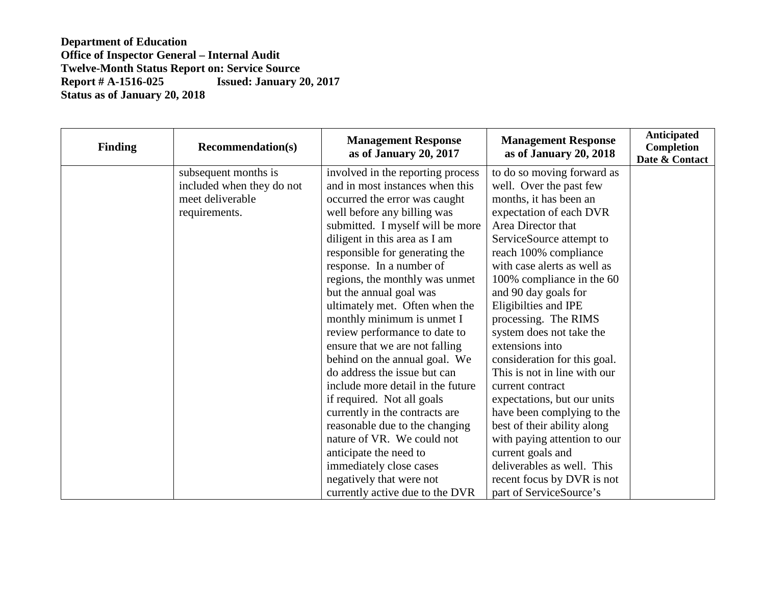| <b>Finding</b> | <b>Recommendation(s)</b>  | <b>Management Response</b><br>as of January 20, 2017 | <b>Management Response</b><br>as of January 20, 2018 | <b>Anticipated</b><br>Completion<br>Date & Contact |
|----------------|---------------------------|------------------------------------------------------|------------------------------------------------------|----------------------------------------------------|
|                | subsequent months is      | involved in the reporting process                    | to do so moving forward as                           |                                                    |
|                | included when they do not | and in most instances when this                      | well. Over the past few                              |                                                    |
|                | meet deliverable          | occurred the error was caught                        | months, it has been an                               |                                                    |
|                | requirements.             | well before any billing was                          | expectation of each DVR                              |                                                    |
|                |                           | submitted. I myself will be more                     | Area Director that                                   |                                                    |
|                |                           | diligent in this area as I am                        | ServiceSource attempt to                             |                                                    |
|                |                           | responsible for generating the                       | reach 100% compliance                                |                                                    |
|                |                           | response. In a number of                             | with case alerts as well as                          |                                                    |
|                |                           | regions, the monthly was unmet                       | 100% compliance in the 60                            |                                                    |
|                |                           | but the annual goal was                              | and 90 day goals for                                 |                                                    |
|                |                           | ultimately met. Often when the                       | Eligibilties and IPE                                 |                                                    |
|                |                           | monthly minimum is unmet I                           | processing. The RIMS                                 |                                                    |
|                |                           | review performance to date to                        | system does not take the                             |                                                    |
|                |                           | ensure that we are not falling                       | extensions into                                      |                                                    |
|                |                           | behind on the annual goal. We                        | consideration for this goal.                         |                                                    |
|                |                           | do address the issue but can                         | This is not in line with our                         |                                                    |
|                |                           | include more detail in the future                    | current contract                                     |                                                    |
|                |                           | if required. Not all goals                           | expectations, but our units                          |                                                    |
|                |                           | currently in the contracts are                       | have been complying to the                           |                                                    |
|                |                           | reasonable due to the changing                       | best of their ability along                          |                                                    |
|                |                           | nature of VR. We could not                           | with paying attention to our                         |                                                    |
|                |                           | anticipate the need to                               | current goals and                                    |                                                    |
|                |                           | immediately close cases                              | deliverables as well. This                           |                                                    |
|                |                           | negatively that were not                             | recent focus by DVR is not                           |                                                    |
|                |                           | currently active due to the DVR                      | part of ServiceSource's                              |                                                    |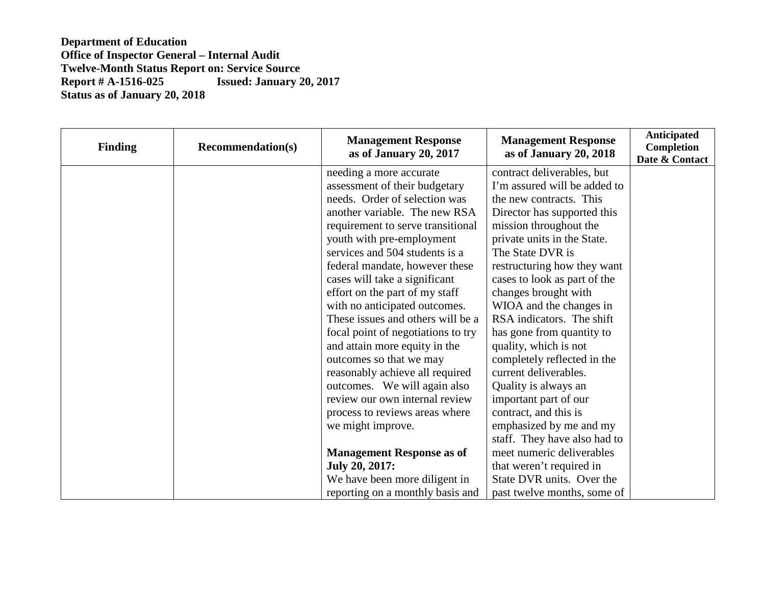| <b>Finding</b> | <b>Recommendation(s)</b> | <b>Management Response</b><br>as of January 20, 2017 | <b>Management Response</b><br>as of January 20, 2018 | <b>Anticipated</b><br>Completion<br>Date & Contact |
|----------------|--------------------------|------------------------------------------------------|------------------------------------------------------|----------------------------------------------------|
|                |                          | needing a more accurate                              | contract deliverables, but                           |                                                    |
|                |                          | assessment of their budgetary                        | I'm assured will be added to                         |                                                    |
|                |                          | needs. Order of selection was                        | the new contracts. This                              |                                                    |
|                |                          | another variable. The new RSA                        | Director has supported this                          |                                                    |
|                |                          | requirement to serve transitional                    | mission throughout the                               |                                                    |
|                |                          | youth with pre-employment                            | private units in the State.                          |                                                    |
|                |                          | services and 504 students is a                       | The State DVR is                                     |                                                    |
|                |                          | federal mandate, however these                       | restructuring how they want                          |                                                    |
|                |                          | cases will take a significant                        | cases to look as part of the                         |                                                    |
|                |                          | effort on the part of my staff                       | changes brought with                                 |                                                    |
|                |                          | with no anticipated outcomes.                        | WIOA and the changes in                              |                                                    |
|                |                          | These issues and others will be a                    | RSA indicators. The shift                            |                                                    |
|                |                          | focal point of negotiations to try                   | has gone from quantity to                            |                                                    |
|                |                          | and attain more equity in the                        | quality, which is not                                |                                                    |
|                |                          | outcomes so that we may                              | completely reflected in the                          |                                                    |
|                |                          | reasonably achieve all required                      | current deliverables.                                |                                                    |
|                |                          | outcomes. We will again also                         | Quality is always an                                 |                                                    |
|                |                          | review our own internal review                       | important part of our                                |                                                    |
|                |                          | process to reviews areas where                       | contract, and this is                                |                                                    |
|                |                          | we might improve.                                    | emphasized by me and my                              |                                                    |
|                |                          |                                                      | staff. They have also had to                         |                                                    |
|                |                          | <b>Management Response as of</b>                     | meet numeric deliverables                            |                                                    |
|                |                          | <b>July 20, 2017:</b>                                | that weren't required in                             |                                                    |
|                |                          | We have been more diligent in                        | State DVR units. Over the                            |                                                    |
|                |                          | reporting on a monthly basis and                     | past twelve months, some of                          |                                                    |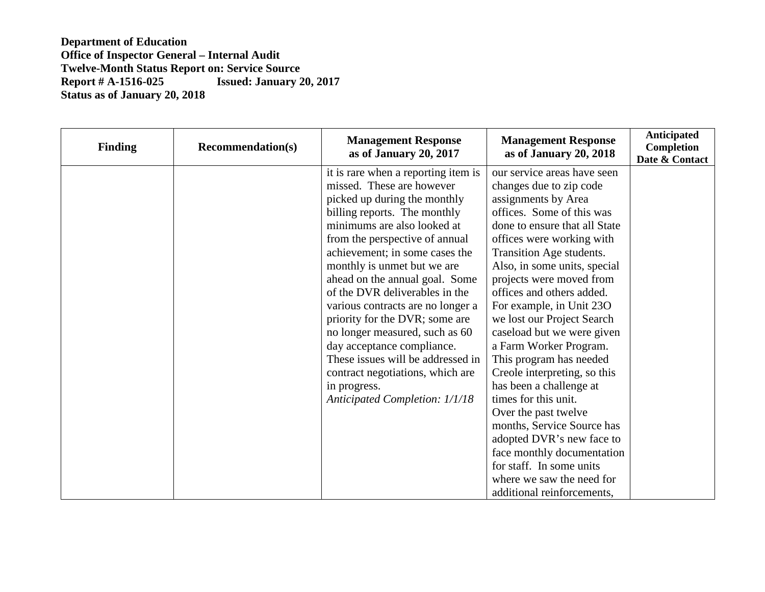| <b>Finding</b> | <b>Recommendation(s)</b> | <b>Management Response</b><br>as of January 20, 2017 | <b>Management Response</b><br>as of January 20, 2018 | <b>Anticipated</b><br>Completion<br>Date & Contact |
|----------------|--------------------------|------------------------------------------------------|------------------------------------------------------|----------------------------------------------------|
|                |                          | it is rare when a reporting item is                  | our service areas have seen                          |                                                    |
|                |                          | missed. These are however                            | changes due to zip code                              |                                                    |
|                |                          | picked up during the monthly                         | assignments by Area                                  |                                                    |
|                |                          | billing reports. The monthly                         | offices. Some of this was                            |                                                    |
|                |                          | minimums are also looked at                          | done to ensure that all State                        |                                                    |
|                |                          | from the perspective of annual                       | offices were working with                            |                                                    |
|                |                          | achievement; in some cases the                       | Transition Age students.                             |                                                    |
|                |                          | monthly is unmet but we are                          | Also, in some units, special                         |                                                    |
|                |                          | ahead on the annual goal. Some                       | projects were moved from                             |                                                    |
|                |                          | of the DVR deliverables in the                       | offices and others added.                            |                                                    |
|                |                          | various contracts are no longer a                    | For example, in Unit 23O                             |                                                    |
|                |                          | priority for the DVR; some are                       | we lost our Project Search                           |                                                    |
|                |                          | no longer measured, such as 60                       | caseload but we were given                           |                                                    |
|                |                          | day acceptance compliance.                           | a Farm Worker Program.                               |                                                    |
|                |                          | These issues will be addressed in                    | This program has needed                              |                                                    |
|                |                          | contract negotiations, which are                     | Creole interpreting, so this                         |                                                    |
|                |                          | in progress.                                         | has been a challenge at                              |                                                    |
|                |                          | <b>Anticipated Completion: 1/1/18</b>                | times for this unit.                                 |                                                    |
|                |                          |                                                      | Over the past twelve                                 |                                                    |
|                |                          |                                                      | months, Service Source has                           |                                                    |
|                |                          |                                                      | adopted DVR's new face to                            |                                                    |
|                |                          |                                                      | face monthly documentation                           |                                                    |
|                |                          |                                                      | for staff. In some units                             |                                                    |
|                |                          |                                                      | where we saw the need for                            |                                                    |
|                |                          |                                                      | additional reinforcements,                           |                                                    |